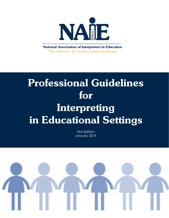

**National Association of Interpreters in Education** The Pursuit of Professional Excellence

# **Professional Guidelines** for Interpreting in Educational Settings

First Edition January 2019

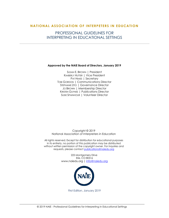#### **NATIONAL ASSOCIATION OF INTERPETERS IN E DUCATION**

### PROFESSIONAL GUIDELINES FOR INTERPRETING IN EDUCATIONAL SETTINGS

#### **Approved by the NAIE Board of Directors, January 2019**

SUSAN E. BROWN | President KIMBERLY HUTTER | Vice President PAT HIMES | Secretary TOBI GORDON | Communications Director STEPHANIE ZITO | Governance Director JO BROWN | Membership Director KRISTEN GUYNES | Publications Director SUSIE SPAINHOUR | Volunteer Director

Copyright © 2019 National Association of Interpreters in Education

All rights reserved. Except for distribution for educational purposes in its entirety, no portion of this publication may be distributed without written permission of the copyright owner. For inquiries and requests, please contac[t publications@naiedu.org](file:///C:/Users/Susan/Downloads/publications@naiedu.org)

> 225 Montgomery Drive Erie, CO 80516 www.naiedu.org [| info@naiedu.org](mailto:info@naiedu.org)



First Edition, January 2019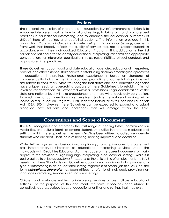### Preface

The National Association of Interpreters in Education (NAIE)'s overarching mission is to empower interpreters working in educational settings, to bring forth and promote best practices in educational interpreting, and to enhance the educational outcomes of d/Deaf, hard of hearing, and deafblind students. The information provided in this publication, *Professional Guidelines for Interpreting in Educational Settings*, creates a framework that broadly reflects the quality of services required to support students in accordance with their Individualized Education Programs. This publication is the first edition of a national effort to identify educational interpreting standards and appropriate considerations for interpreter qualifications, roles, responsibilities, ethical conduct, and appropriate hiring practices.

These Guidelines support local and state education agencies, educational interpreters, parents, and other essential stakeholders in establishing and implementing best practices in educational interpreting. Professional excellence is based on standards of competency that align with ethical practices, promoting fundamental obligations and assurances to consumers. While we recognize that states and local education agencies have unique needs, an overarching purpose of these Guidelines is to establish minimal levels of standardization, as is expected within all professions. Legal considerations at the state and national level will take precedence, and there will undoubtedly be situations to which special considerations must be given. Such is the nature of working within *Individualized* Education Programs (IEPs) under the Individuals with Disabilities Education Act (IDEA, 2004). Likewise, these Guidelines can be expected to expand and adapt alongside new solutions and challenges that will emerge within the field.

### **Conventions and Scope of Document**

The NAIE recognizes and embraces the vast range of hearing losses, communication modalities, and cultural identities among students who utilize interpreters in educational settings. Within these guidelines, the term **deaf** has been utilized to collectively denote students who are deaf, Deaf, hard of hearing, hearing-impaired, and deafblind.

While NAIE recognizes the classification of captioning, transcription, cued language, and oral interpretation/transliteration as educational interpreting services under the Individuals with Disabilities Education Act, the scope of the current document primarily applies to the provision of sign language interpreting in educational settings. While it is best practice to utilize *educational interpreter* as the official title of employment, the NAIE asserts that these Standards and Guidelines apply to each individual who provides any type of interpreting in an educational setting, regardless of official job title. As such, the term **educational interpreter** has been utilized to refer to all individuals providing sign language interpreting services in educational settings.

Children and youth are entitled to interpreting services across multiple educational settings. For the purposes of this document, the term **school** has been utilized to collectively address various types of educational entities and settings that may exist.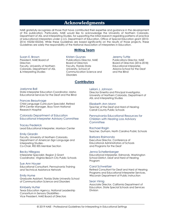### **Acknowledgments**

NAIE gratefully recognizes all those that have contributed their expertise and guidance in the development of this publication. Particularly, NAIE would like to acknowledge the University of Northern Colorado, Department of ASL and Interpreting Studies, for supporting the initial research regarding patterns of practice of educational interpreters under a U.S. Department of Education, Office of Special Education grant (2010- 2014; H325k100234). While these Guidelines are based significantly on the results of those projects, these Guidelines are solely the responsibility of the National Association of Interpreters in Education.

#### **Writing Team**

#### Susan E. Brown

President, NAIE Board of **Directors** Faculty, University of Northern Colorado, Department of ASL & Interpreting Studies

Kristen Guynes Publications Director, NAIE Board of Directors Faculty, Florida State University, School of Communication Science and **Disorders** 

**Contributors**

#### Jeremy Tuttle

Publications Director, NAIE Board of Directors (2016-2018) Educational Interpreter, Arizona School for the Deaf and the Blind

#### Joelynne Ball

State Interpreter Education Coordinator, Idaho Educational Services for the Deaf and the Blind

#### Frances Beaurivage

Child Language Curriculum Specialist, Retired EIPA Center Manager, Boys Town National Research Hospital

Colorado Department of Education Educational Interpreter Advisory Committee

#### Tracey Frederick

Lead Educational Interpreter, Morrison Center

#### Emily Girardin

Faculty, University of Northern Colorado, Department of American Sign Language and Interpreting Studies - Co-Chair, RID IEIS Member Section

#### Becky Hillegass

Interpreter Specialist, Region 2 Grant Coordinator, Virginia Beach City Public Schools

#### Sue Ann Houser

Educational Consultant, Pennsylvania Training and Technical Assistance Network

#### Emily Hume

Graduate Assistant, Florida State University School of Communication Science and Disorders

#### Kimberly Hutter

Texas Education Agency, National Leadership Consortium in Sensory Disabilities - Vice President, NAIE Board of Directors

#### Leilani J. Johnson

Director Emerita and Principal Investigator, University of Northern Colorado, Department of ASL and Interpreting Studies

Elizabeth Ann Monn

Teacher of the Deaf and Hard of Hearing Carroll County Public Schools

#### Pennsylvania Educational Resources for Children with Hearing Loss Advisory **Committee**

Rachael Ragin Teacher, Durham, North Carolina Public Schools

#### Barbara Raimondo

Executive Director, Conference of Educational Administrators of Schools and Programs for the Deaf

#### Jenna Schellenberger

Educational Interpreter, Edmonds, Washington School District, Deaf and Hard of Hearing Program

#### Carol Schweitzer

Retired Consultant for Deaf and Hard of Hearing Programs and Educational Interpreter Services, Wisconsin Department of Public Instruction

#### Sean Virnig

Associate Director, California Department of Education, State Special Schools and Services Division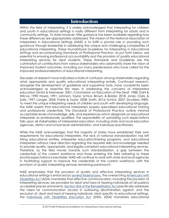### **Introduction**

Within the field of interpreting, it is widely acknowledged that interpreting for children and youth in educational settings is vastly different from interpreting for adults and in community settings. To date however, little guidance has been available regarding how these differences are appropriately addressed. The mission of the National Association of Interpreters in Educational Settings (NAIE) is to fulfill a pivotal role in providing such guidance through leadership in addressing the unique and challenging complexities of educational interpreting. These foundational *Guidelines for Interpreting in Educational Settings* and accompanying *Standards of Professional Practice*, as put forth below, are essential to ensuring professional accountability and the provision of quality educational interpreting services for deaf students. These Standards and Guidelines are the culmination of contributions from various stakeholders who adamantly share the vision of improved student outcomes, including our many predecessors who have called for the improved professionalization of educational interpreting.

Decades of research have indicated a state of confusion among stakeholders regarding what appropriate and quality educational interpreting entails. Continued research, alongside the development of guidelines and supportive tools, have consistently been acknowledged as essential first steps in addressing the concerns of interpreted education (Antia & Kreimeyer, 2001; Commission on Education of the Deaf, 1988; Dahl & Wilcox, 1990; Hayes, 1991; Johnson, Taylor, Schick, Brown, & Bolster, 2018; Jones, Clark, & Soltz, 1997; Langer, 2004; Patrie & Taylor, 2008; Smith, 2016; Schick, 2007; Stuckless,1989). To meet the unique interpreting needs of children and youth with developing language, the NAIE asserts that educational interpreters possess specialized educational training and professional credentials. The *Standards of Professional Practice* outline minimal acceptable levels of knowledge, skills, and experiences which designate an educational interpreter as professionally qualified. The responsibility of upholding such expectations falls upon all stakeholders of interpreted education, including state and local education agencies, district and school-level administration, and individual practitioners.

While the NAIE acknowledges that the majority of states have established their own requirements for educational interpreters, the lack of national standardization has left hiring educational entities, interpreter education/training programs, and educational interpreters without clear direction regarding the requisite skills and knowledge needed to provide quality, appropriate, and legally-compliant educational interpreting services. Therefore, as the field moves towards such standardization, a gap between the credentials of the current workforce and those entering the field adhering to these pivotal expectations is inevitable. NAIE will continue to work with state and local agencies in facilitating support to improve the credentials of the current workforce, with the provision of quality interpreting services remaining paramount.

NAIE emphasizes that the provision of quality and effective interpreting services in educational settings is enforced by [several federal laws.](https://www.ada.gov/doe_doj_eff_comm/doe_doj_eff_comm_faqs.htm) The overarching [Americans with](http://www.ada.gov/)  [Disabilities Act](http://www.ada.gov/) (ADA) mandates that effective communication, including the provision of interpreting services, be provided for deaf and hard of hearing individuals at all publicly accessible places and events. [Section 504 of the Rehabilitation Act](https://www.dol.gov/oasam/regs/statutes/sec504.htm) specifically addresses the need for communication access in outlawing discrimination against, and the exclusion of, deaf and hard of hearing individuals. Most specific to educational settings, the [Individuals with Disabilities](https://sites.ed.gov/idea/) Education Act (IDEA, 2004) mandates educational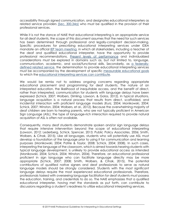accessibility through signed communication, and designates educational interpreters as related service providers [\(Sec. 300.34a\)](https://sites.ed.gov/idea/regs/b/a/300.34/a) who must be qualified in the provision of their professional services.

While it is not the stance of NAIE that educational interpreting is an appropriate service for all deaf students, the scope of this document assumes that the need for such services has been determined through professional and legally-compliant decision-making. Specific procedures for prescribing educational interpreting services under IDEA mandate an official [IEP team meeting,](https://sites.ed.gov/idea/regs/b/d/300.321) in which all stakeholders, including a teacher of the deaf and qualified educational interpreter, have the opportunity to provide professional recommendations. [Present levels of performance](https://sites.ed.gov/idea/regs/b/d/300.324) and individualized considerations must be explored in domains such as, but not limited to, language, communication, academic, and social/functional skills. Secondarily, as [a federally](https://sites.ed.gov/idea/regs/b/a/300.34)[defined related service,](https://sites.ed.gov/idea/regs/b/a/300.34) the determination to provide educational interpreting services must be accompanied by the development of specific [measurable educational goals](https://sites.ed.gov/idea/regs/b/d/300.320/a/2) to which the [educational interpreting services can contribute.](https://sites.ed.gov/idea/regs/b/d/300.320/a/4)

We would be remiss not to address ongoing concerns regarding appropriate educational placement and programming for deaf students. The nature of an interpreted education, the likelihood of inequitable access, and the benefit of direct, rather than interpreted, communication for students with language delays have been expressed (Schick, 2007; Wolbers, Dimling, Lawson, & Golos, 2012). In typical situations, language acquisition is a natural process that results from direct, scaffolded, and incidental interaction with proficient language models (Kurz, 2004; Monikowski, 2004; Schick, 2007; Winston, 2004; Wolbers, et al., 2012). Because the overwhelming majority of deaf children are born to hearing parents, who are not typically proficient in American Sign Language (ASL), the type of language-rich interaction required to provide natural acquisition of ASL is often not available.

Consequently, many deaf students demonstrate spoken and/or sign language delays that require intensive intervention beyond the scope of educational interpreting (Lawson, 2012; Lederberg, Schick, Spencer, 2013; Public Policy Associates, 2006; Smith, Wolbers, & Cihak, 2015). Like all languages, students who will potentially use ASL must develop a foundation of the language prior to using it for communication and learning purposes (Monikowski, 2004; Patrie & Taylor, 2008; Schick, 2004; 2008). In such cases, interpreting the language of the classroom, which is aimed towards hearing students with typical language development, is unlikely to provide educational access as intended (Monikowski, 2004; Schick, 2004; Winston, 2004). Therefore, an educational professional proficient in sign language who can facilitate language directly may be more appropriate (Schick, 2007; 2008; Smith, Wolbers, & Cihak, 2015). The potential contributions of qualified native signers and deaf professionals to serve as natural language models should be strongly considered. Students with the most significant language delays require the most experienced educational professionals. Therefore, professionals tasked with overseeing language facilitation for deaf students must possess the education, training, and credentials to do so. The NAIE emphasizes that a qualified educational interpreter, having met the standards as put forth, can contribute to discussions regarding a student's readiness to utilize educational interpreting services.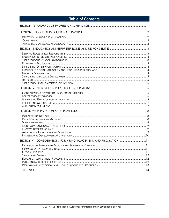| <b>Table of Contents</b> |  |
|--------------------------|--|
|                          |  |
|                          |  |
|                          |  |
|                          |  |
|                          |  |
|                          |  |
|                          |  |
|                          |  |
|                          |  |
|                          |  |
|                          |  |
|                          |  |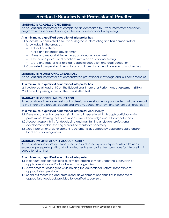### **Section I: Standards of Professional Practice**

#### <span id="page-7-0"></span>**STANDARD I: ACADEMIC CREDENTIALS**

An educational interpreter has completed an accredited four-year interpreter education program; with specialized training in the field of educational interpreting.

#### **At a minimum, a qualified educational interpreter has:**

- 1.1 Successfully completed a four-year degree in interpreting and has demonstrated knowledge in the areas of:
	- Educational theory
	- Child and language development
	- Roles and responsibilities in the educational environment
	- Ethical and professional practices within an educational setting
	- State and federal laws related to special education and deaf education
- 1.2 Completed a supervised internship or practicum placement in an educational setting

#### **STANDARD II: PROFESSIONAL CREDENTIALS**

An educational interpreter has demonstrated professional knowledge and skill competencies.

#### **At a minimum, a qualified educational interpreter has:**

2.1 Achieved at least a 4.0 on the Educational Interpreter Performance Assessment (EIPA)

2.2 Earned a passing score on the EIPA Written Test

#### **STANDARD III: CONTINUING EDUCATION**

An educational interpreter seeks out professional development opportunities that are relevant to the interpreting process, educational system, educational law, and current best practices.

#### **At a minimum, a qualified educational interpreter consistently:**

- 3.1 Develops and enhances both signing and interpreting skills through participation in professional training that builds upon current knowledge and skill competencies
- 3.2 Accepts responsibility for developing and maintaining a relevant professional development plan, seeking a qualified mentor as necessary
- 3.3 Meets professional development requirements as outlined by applicable state and/or local education agencies

#### **STANDARD IV: SUPERVISION & ACCOUNTABILITY**

An educational interpreter is supervised and evaluated by an interpreter who is trained in evaluating interpreting skills and is knowledgeable regarding best practices for interpreting in educational settings.

#### **At a minimum, a qualified educational interpreter:**

- 4.1 Is accountable for providing quality interpreting services under the supervision of applicable state and/or local education agencies
- 4.2 Advocates for colleagues while holding the educational systems responsible for appropriate supervision
- <span id="page-7-1"></span>4.3 Seeks out mentoring and professional development opportunities in response to appropriate feedback provided by qualified supervisors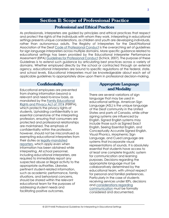### **Section II: Scope of Professional Practice**

### **Professional and Ethical Practices**

<span id="page-8-1"></span><span id="page-8-0"></span>As professionals, interpreters are guided by principles and ethical practices that respect and protect the rights of the individuals with whom they work. Interpreting in educational settings presents unique considerations, as children and youth are developing individuals, rather than autonomous adults. The Registry of Interpreters for the Deaf/National Association of the Deaf [Code of Professional Conduct](https://rid.org/ethics/code-of-professional-conduct/) is the overarching set of guidelines for sign language interpreters across multiple domains. More specific guidance related to educational settings has been provided by the Educational Interpreter Performance Assessment (EIPA) [Guidelines for Professional Conduct](https://www.classroominterpreting.org/eipa/guidelines/index.asp) (Schick, 2007). The purpose of these Guidelines is to extend such guidance by articulating best practices across a variety of domains. Whether employed directly by the school or contracted through an external agency, educational interpreters are bound to specific regulations at the federal, state, and school levels. Educational interpreters must be knowledgeable about each set of applicable guidelines to appropriately draw upon them in professional decision-making.

### <span id="page-8-2"></span>**Confidentiality**

Educational employees are prevented from sharing information beyond a relevant and need-to-know basis, as mandated by the [Family Educational](https://www2.ed.gov/policy/gen/guid/fpco/ferpa/index.html)  [Rights and Privacy Act of 1974](https://www2.ed.gov/policy/gen/guid/fpco/ferpa/index.html) (FERPA), which protects the privacy rights of students. Upholding confidentiality is an essential cornerstone of the interpreting profession, ensuring that consumers are protected and professional relationships are maintained. The emphasis of confidentiality within the profession, however, should not be misconstrued as exempting educational interpreters from their duties as [legally-mandated](https://www.childwelfare.gov/pubPDFs/manda.pdf#page=2&view=Professionals%20required%20to%20report)  [reporters,](https://www.childwelfare.gov/pubPDFs/manda.pdf#page=2&view=Professionals%20required%20to%20report) which apply even when information has been obtained while interpreting. All school personnel, including educational interpreters, are required to immediately report any suspected abuse or illegal activity to the appropriate authorities. Likewise, pertinent student-related information, such as academic performance, family situations, and behavioral concerns, should be shared within the relevant educational team for the purposes of addressing student needs and facilitating positive outcomes.

### <span id="page-8-3"></span>**Appropriate Language** and Modality

There are several variations of sign language that may be used in educational settings. American Sign Language (ASL) is the unique language of the Deaf community in the United States and parts of Canada, while other signing systems are influenced by English. Signed English systems may include those such as Signed Exact English, Seeing Essential English, and Conceptually Accurate Signed English. Visual Phonics, Morphemic Sign Language, and Cued Language are systems that incorporate visual representations of sounds. It is absolutely essential that students have access to at least one complete linguistic system for communication and learning purposes. Decisions regarding the appropriate language must be collaboratively determined by the educational team, with utmost respect for personal and familial preferences. Particularly in the case of students receiving services under IEPs, decisions and [considerations regarding](https://sites.ed.gov/idea/regs/b/d/300.324/a/2/iv)  [communication](https://sites.ed.gov/idea/regs/b/d/300.324/a/2/iv) must be formally considered and documented.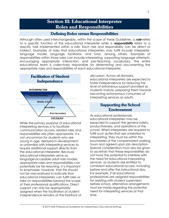## **Section III: Educational Interpreter Roles and Responsibilities**

### Defining Roles versus Responsibilities

<span id="page-9-1"></span><span id="page-9-0"></span>Although often used interchangeably, within the scope of these Guidelines, a **role** refers to a specific function of the educational interpreter while a **responsibility** refers to a specific task implemented within a role. Each role and responsibility can be direct or indirect. Examples of roles that educational interpreters may fulfill include interpreter, language model, language facilitator, and tutor, among others. Examples of responsibilities within those roles can include interpreting, supporting language attempts, encouraging appropriate interaction, and pre-teaching vocabulary. The entire educational team is collectively responsible for determining and documenting the appropriate roles and responsibilities of each educational interpreter.

<span id="page-9-2"></span>

While the primary purpose of educational interpreting services is to facilitate communication access, related roles and responsibilities are often appropriate. It is not uncommon for students who are young in age, delayed in development, or unfamiliar with interpreting services to require additional support directly from the educational interpreter. Because educational interpreters serve as language-accessible adult role models, appropriate roles and responsibilities can potentially be far-reaching. It is important to emphasize, however, that this should not be misconstrued to indicate that educational interpreters can fulfill roles or take on responsibilities beyond the scope of their professional qualifications. Direct support can only be appropriately assigned when the facilitation of student independence remains at the forefront of

discussion. Across all domains, educational interpreters are expected to foster independence by reducing the level of extraneous support provided as students mature, preparing them towards becoming autonomous consumers of interpreting services as adults.

### <span id="page-9-3"></span>**Supporting the School Environment**

As educational professionals, educational interpreters may be expected to support the general safety, productiveness, and operations of the school. When interpreters are required to fulfill such duties that are unrelated to interpreting, they must be within the boundaries of the compensated working hours and agreed upon job description. Special consideration must also be given to ascertain that these responsibilities do not have the potential to interfere with the need for educational interpreting services, as students are entitled to consistent educational access, including before and after the instructional day. For example, if all educational professionals are assigned responsibilities for assisting with student supervision before school, alternative arrangements must be made regarding the potential need for interpreting services at that time.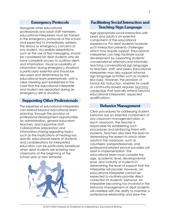#### **Emergency Protocols**

<span id="page-10-0"></span>Alongside other educational professionals and adult staff members, educational interpreters must be trained in the emergency protocols of the school and expected to immediately address the serious or emergency concerns of any student. Accessible adaptations, such as the use of text messaging, should be considered for deaf students who do have complete access to auditory alerts and information. Visual accessibility of information during emergency situations is particularly essential and should be discussed and determined by the educational team preemptively, with a clear meeting spot established in the case that the educational interpreter and student are separated during an emergency drill or situation.

### <span id="page-10-1"></span>**Supporting Other Professionals**

The expertise of educational interpreters can extend beyond educational team planning, through the provision of professional development opportunities for administration, general education teachers, and supportive staff. Collaborative preparation and information-sharing regarding topics such as the implications of hearing loss, specific educational needs of students, and considerations for interpreted education can be particularly beneficial when deaf students are entering new classrooms at the beginning of the school year or new semester.



### <span id="page-10-2"></span>**Facilitating Social Interaction and Teaching Sign Language**

Age-appropriate social interaction with peers and adults is an essential component of the educational experience. For deaf students however, such interaction presents challenges which may require support. Educational interpreters can help facilitate social development by supporting students' conversational attempts and informally teaching conversational sign language to teachers, staff, and peers. Educational interpreters may also support informal sign language activities such as studentled clubs. However, the provision of formal ASL instruction, whether for credit or community-based, requires [teaching](https://aslta.org/)  [credentials](https://aslta.org/) that typically extend beyond educational interpreters' expected qualifications.

#### **Behavior Management**

<span id="page-10-3"></span>Clear procedures for addressing student behavior are an essential component of any classroom management plan. In each classroom, the teacher is responsible for establishing such procedures and reinforcing them with students. Teachers also take the lead on determining the extent to which other adults in the classroom, such as volunteers, paraprofessionals, and professional related service providers will assist in implementation. The educational team must consider the age, academic level, developmental level, and maturity of students in determining the level of support that the interpreter will provide. However, an educational interpreter cannot be expected to routinely provide direct correction of students' behavior. An interpreter becoming too involved in the behavior management of deaf students will interfere with the ability to maintain a professional relationship and skew the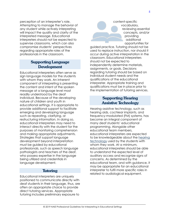perception of an interpreter's role. Attempting to manage the behavior of any student while actively interpreting will impact the quality and clarity of the interpreted message. Educational interpreters should not be expected to supervise classrooms, which can also compromise students' perspectives regarding appropriate roles of the professionals in the classroom.

### **Supporting Language Development**

<span id="page-11-0"></span>Educational interpreters often serve as sign language models for the students with whom they work. An inherent component of interpreting is presenting the content and intent of the spoken message at a language level most readily understood by the deaf individual. Because of the developing nature of children and youth in educational settings, it is appropriate to provide additional support to facilitate emerging and developing language such as repeating, clarifying, or restructuring information. In doing so, educational interpreters may need to interact directly with the student for the purposes of monitoring comprehension and making appropriate adjustments. Strategies that support language development beyond interpretation must be guided by educational professionals, such as speech language pathologists and teachers of the deaf, who possess expertise in the language being utilized and credentials in language development.

#### **Tutoring**

<span id="page-11-1"></span>Educational interpreters are uniquely positioned to communicate directly with deaf students in their language, thus, are often an appropriate choice to provide direct tutoring services. Appropriate tutoring includes preliminary exposure to

content-specific vocabulary, reviewing essential concepts, and/or providing additional opportunities for

guided practice. Tutoring should not be used to replace instruction, nor should it occur during active interpretation in the classroom. Educational interpreters should not be expected to independently determine materials, assignments, or goals. Decisions regarding tutoring should be based on individual student needs and the qualifications of the educational interpreter. Appropriate training and qualifications must be in place prior to the implementation of tutoring services.

### **Supporting Hearing Assistive Technology**

<span id="page-11-2"></span>Hearing assistive technology, such as hearing aids, cochlear implants, and frequency-modulated (FM) systems, has become an integral component of many deaf students' educational programming. Alongside other educational team members, educational interpreters are expected to be knowledgeable about the [hearing](https://www.handsandvoices.org/pdf/04finalIDEADHHdefs.pdf)  [technology](https://www.handsandvoices.org/pdf/04finalIDEADHHdefs.pdf) used by the students with whom they work. At a minimum, educational interpreters should be able to understand the expected level of auditory access and recognize signs of concerns. As determined by the educational team, and with guidance, it may be appropriate for an educational interpreter to fulfil more specific roles in related to audiological equipment.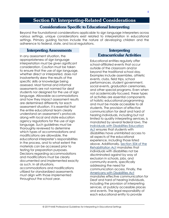### <span id="page-12-0"></span>**Section IV: Interpreting-Related Considerations**

#### **Considerations Specific to Educational Interpreting**

<span id="page-12-1"></span>Beyond the foundational considerations applicable to sign language interpreters across various settings, unique considerations exist related to interpretation in educational settings. Primary guiding factors include the nature of developing children and the adherence to federal, state, and local regulations.

#### **Interpreting Assessments**

<span id="page-12-2"></span>In any assessment situation, the appropriateness of sign language interpretation must be given significant consideration. Caution must be taken to ensure that the use of sign language, whether direct or interpreted, does not inadvertently skew the results of the specific skills or knowledge being assessed. Most formal and informal assessments are not normed for deaf students nor designed for the use of sign language. Allowable accommodations and how they impact assessment results are determined differently for each assessment situation. It is essential that the entire educational team clearly understand an assessment's protocols along with local and state education agency regulations for the use of sign language. Such guidelines must be thoroughly reviewed to determine which types of accommodations and modifications are allowable, the educational interpreter's responsibilities in the process, and to what extent the materials can be accessed prior to testing for preparation purposes. Decisions regarding accommodations and modifications must be clearly documented and implemented exactly as such. In all situations, accommodations and modifications utilized for standardized assessments must align with those implemented throughout the school year.

### <span id="page-12-3"></span>Interpreting **Extracurricular Activities**

Educational entities regularly offer school-affiliated events that occur outside of the classroom and/or beyond the traditional school day. Examples include assemblies, athletic events, clubs, field trips, school performances, student government, social events, graduation ceremonies, and other special programs. Even when not academically-focused, these types of activities are essential components of holistic educational programming and must be made accessible to all students. The provision of effective communication for deaf and hard of hearing individuals, including but not limited to quality interpreting services, is mandated by several federal laws. The Individuals with Disabilities Education Act ensures that students with disabilities have uninhibited access to all aspects of the educational experience, including those listed above. Additionally, Section 504 of the Rehabilitation Act mandates that individuals with disabilities not be discriminated against by way of exclusion in schools, jobs, and community events, specifically addressing the need for communication access. Finally, the Americans with Disabilities Act mandates effective communication for Deaf and hard of hearing individuals, including the provision of interpreting services, at publicly accessible places and events. The legal responsibility of each educational entity to provide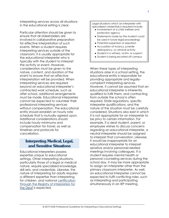interpreting services across all situations in the educational setting is clear.

Particular attention should be given to ensure that all stakeholders are involved in collaborative preparation for effective interpretation of such events. When a student requires interpreting services outside of the classroom, it is usually appropriate for the educational interpreter who is typically with the student to interpret the activity or event. However, consideration must be given to the nature, content, and duration of the event to ensure that an effective interpretation will be provided. When interpreting services are required beyond an educational interpreter's contracted work schedule, such as after school, additional arrangements must be made. Educational interpreters cannot be expected to volunteer their professional interpreting services without compensation. The educational entity should establish an hourly rate schedule that is mutually agreed upon. Additional considerations should include hourly minimums and compensation for travel, as well as timelines and protocols for cancellation.

### <span id="page-13-0"></span>**Interpreting Medical, Legal,** and Sensitive Situations

<span id="page-13-1"></span>Educational interpreters possess expertise unique to educational settings. Other interpreting situations, particularly those of a legal or medical nature, require specialized knowledge, skill sets, and credentials. Likewise, the nature of interpreting for adults requires a different expertise than interpreting for children, and national [certification](https://rid.org/rid-certification-overview/)  [through the Registry of Interpreters for](https://rid.org/rid-certification-overview/)  [the Deaf](https://rid.org/rid-certification-overview/) is expected.

Legal situations which an interpreter with specialized credentials is required include:

- Involvement of a child welfare and protection agency
- Statements made by the student could be used in future legal proceedings
- Potential suspension or expulsion
- Accusation of truancy, juvenile delinquency, or criminal activity
- Student is a witness, victim, or suspect
- Student is being escorted off campus

When these types of interpreting situations arise in a school setting, the educational entity is responsible for providing appropriate and legallycompliant interpreting services. However, it cannot be assumed that an educational interpreter is inherently qualified to fulfil them, and contracting from outside the school is often required. State regulations, specific interpreter qualifications, and the nature of the situation must be carefully considered. Situations also exist in which it is not appropriate for an interpreter to be privy to certain information. For example, if a deaf student, parent, or employee wishes to discuss concerns regarding an educational interpreter, a neutral interpreter should be assigned to interpret that conversation. Likewise, it would be inappropriate for an educational interpreter to interpret sensitive and/or personnel-related meetings involving colleagues. If a student requires mental health or personal counseling services during the school day, it may be more appropriate to assign an interpreter other than the primary classroom interpreter. As well, an educational interpreter cannot be expected to fulfil conflicting roles, such as interpreting and participating simultaneously in an IEP meeting.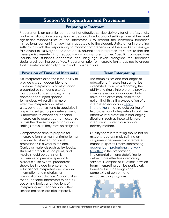# **Section V: Preparation and Provisions**

### **Preparing to Interpret**

<span id="page-14-1"></span><span id="page-14-0"></span>Preparation is an essential component of effective service delivery for all professionals, and educational interpreting is no exception. In educational settings, one of the most significant responsibilities of the interpreter is to present the classroom teacher's instructional content in a way that is accessible to the student. Unlike other interpreting settings in which the responsibility to monitor comprehension of the speaker's message falls almost exclusively on the deaf adult, educational interpreters must ensure that the message is presented in an educationally appropriate manner. Specific considerations include the student's academic and language levels alongside the teacher's designated learning objectives. Preparation prior to interpretation is required to ensure that the interpretation aligns with such considerations.

#### <span id="page-14-2"></span>**Provision of Time and Materials**

An interpreter's expertise is the ability to provide a clear, accessible, and cohesive interpretation of information presented by someone else. A foundational understanding of the content and subject-specific terminology will result in a more effective interpretation. While classroom teachers tend to specialize in a specific subject or grade-level area, it is impossible to expect educational interpreters to possess content expertise across the diverse range of topics and settings to which they may be assigned.

Compensated time to prepare for interpretation in a manner similar to that provided to other educational professionals is pivotal to this end. Curricular materials such as textbooks, student materials, lesson plans, and media should be consistently accessible to preview. Specific to extracurricular events, procedures should be in place to ensure that educational interpreters are provided information and materials for preparation in advance. Opportunities for educational interpreters to discuss upcoming topics and situations of interpreting with teachers and other service providers are also imperative.

#### **Team Interpreting**

<span id="page-14-3"></span>The complexities and challenges of educational interpreting cannot be overstated. Concerns regarding the ability of a single interpreter to provide complete educational accessibility have been expressed, despite the notion that this is the expectation of an interpreted education. [Team](https://drive.google.com/file/d/0B3DKvZMflFLdVzZpaUtraW5xZG8/view)  [interpreting](https://drive.google.com/file/d/0B3DKvZMflFLdVzZpaUtraW5xZG8/view) is the strategic pairing of two professional interpreters to optimize effective interpretation in challenging situations, such as those which are intensive in content, duration, or delivery method.

Quality team interpreting should not be misconstrued as simply splitting an assignment between two interpreters. Rather, purposeful team interpreting [requires both professionals to](http://www.avlic.ca/sites/default/files/docs/2011-07Team_Interpreting_Best_Practices_Article-by_Debra_Russell.pdf) work [together](http://www.avlic.ca/sites/default/files/docs/2011-07Team_Interpreting_Best_Practices_Article-by_Debra_Russell.pdf) in the preparation, implementation, and debriefing to deliver more effective interpreting services. Examples of situations in which team interpreting can be particularly beneficial include length and complexity of content and extracurricular programs.

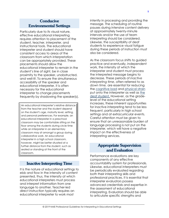### <span id="page-15-0"></span>**Conducive Environmental Settings**

Particularly due to its visual nature, effective educational interpreting requires attention to placement of the student, teacher, interpreter, and instructional tools. The educational interpreter and student should have consistent access to areas of the classroom from which interpretation can be appropriately provided. These placements should allow the educational interpreter to remain in the student's line of sight, be in close proximity to the speaker, unobstructed, and well-lit. To ensure the simultaneous accessibility of the speaker and educational interpreter, it is often necessary for the educational interpreter to change placements frequently by shadowing the speaker(s).

An educational interpreter's relative distance from the teacher and the student depend on the student's age, maturity level, setting, and personal preferences. For example, an educational interpreter in a preschool classroom may be comfortable sitting on the floor among the students during circle time while an interpreter in an elementary classroom may sit amongst a group during collaborative work. An educational interpreter in a high school classroom, however, might be better situated at a further distance from the student, such as seated or standing at the front of the classroom.

### **Inactive Interpreting Time**

<span id="page-15-1"></span>It is the nature of educational settings to ebb and flow in the intensity of content presented, thus, the intensity at which educational interpreters must process and interpret information from one language to another. Teacher-led direct instruction typically requires an educational interpreter to work most

intently in processing and providing the message. The scheduling of routine pauses during intensive content delivery at approximately twenty-minute intervals and/or the use of team interpreting should be considered. Likewise, the susceptibility of deaf students to experience visual fatigue during these periods of instruction must also be considered.

As the classroom focus shifts to guided practice and eventually, independent work, the intensity at which the interpreter and student must process the interpreted message begins to decrease. These periods of *inactive interpreting time*, often referred to as *down time,* are essential for reducing the [cognitive load](https://www.unco.edu/marie/pdf/archived-literature/FactSheet_American_Sign_Language_Interpreter_Teams.pdf) and [physical strain](http://www.rit.edu/news/story.php?id=46110) put onto the interpreter as well as [the](http://www.hearinglikeme.com/why-you-should-know-about-concentration-fatigue/)  [deaf student.](http://www.hearinglikeme.com/why-you-should-know-about-concentration-fatigue/) However, as the gradelevel of the educational setting increases, these inherent opportunities for inactive interpreting tend to be less frequent, particularly in high school settings and at extracurricular events. Careful attention must be given to ensure that an unreasonable burden of language processing is not put on the interpreter, which will have a negative impact on the effectiveness of interpreting services.

### <span id="page-15-2"></span>**Appropriate Supervision** and Evaluation

Performance evaluations are key components of any effective accountability system for professionals. Likewise, educational interpreters must be periodically evaluated regarding both their interpreting skills and professional practices. It is essential that interpreter evaluators possess advanced credentials and expertise in the assessment of educational interpreting. Evaluators should be able to articulate specific strengths and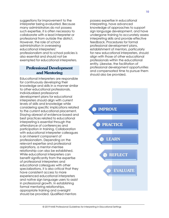suggestions for improvement to the interpreter being evaluated. Because many administrators do not possess such expertise, it is often necessary to collaborate with a lead interpreter or professional from outside the district. However, the role of school administration in overseeing educational interpreters' professionalism and to school policies is also essential and should not be exempted for educational interpreters.

### <span id="page-16-0"></span>**Professional Development** and Mentoring

Educational interpreters are responsible for continuously developing their knowledge and skills in a manner similar to other educational professionals. Individualized professional development plans for educational interpreters should align with current levels of skills and knowledge while considering specific implications related to the current educational placement. Staying abreast of evidence-based and best practices related to educational interpreting is essential through the attendance of conferences and participation in training. Collaboration with educational interpreter colleagues is an inherent component of professionalism. Depending on the relevant expertise and professional aspirations, a mentor-mentee relationship can also be established. While educational interpreters can benefit significantly from the expertise of professional interpreters and educational colleagues with other specializations, it is also critical that they have consistent access to more experienced educational interpreters and native sign language users to assist in professional growth. In establishing formal mentoring relationships, appropriate training and oversight should be provided. Qualified mentors

possess expertise in educational interpreting, have advanced knowledge of approaches to support sign language development, and have undergone training to accurately assess interpreting skills and provide effective feedback. Procedures for formal professional development plans, establishment of mentors, particularly

for new educational interpreters, should align with those of other educational professionals within the educational entity. Likewise, the facilitation of professional development opportunities and compensated time to pursue them should also be provided.

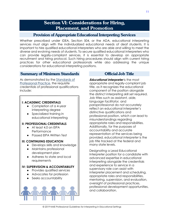### **Section VI: Considerations for Hiring. Placement, and Promotion**

#### <span id="page-17-0"></span>**Provision of Appropriate Educational Interpreting Services**

<span id="page-17-1"></span>Whether prescribed under IDEA, Section 504, or the ADA, educational interpreting services must align with the individualized educational needs of deaf students. It is important to hire qualified educational interpreters who are able and willing to meet the diverse and evolving needs of students. To secure qualified educational interpreters who can provide legally-compliant services, it is essential to develop an appropriate recruitment and hiring protocol. Such hiring procedures should align with current hiring practices for other educational professionals while also addressing the unique considerations for educational interpreting positions.

#### <span id="page-17-2"></span>**Summary of Minimum Standards**

As demonstrated by the [Standards of](#page-7-1)  [Professional Practice,](#page-7-1) the requisite credentials of professional qualifications include:

#### **I: ACADEMIC CREDENTIALS**

- Completion of a 4-year interpreting degree
- Specialized training in educational interpreting

#### **II: PROFESSIONAL CREDENTIALS**

- At least 4.0 on EIPA **Performance**
- Passed EIPA Written Test

#### **III: CONTINUING EDUCATION**

- Develops skills and knowledge
- Maintains professional development plan
- Adheres to state and local requirements

#### **IV: SUPERVISION & ACCOUNTABILITY**

- Provides qualified services
- Advocates for profession
- Seeks accountability

#### **Official Job Title**

<span id="page-17-3"></span>*Educational Interpreter* is the most appropriate and legally-compliant job title, as it recognizes the educational component of the position alongside the distinct interpreting skill set required. Job titles such as *assistant, aide, language facilitator,* and *paraprofessional* do not accurately reflect an educational interpreter's distinctive qualifications and professional position, which can lead to misunderstandings regarding appropriate roles and responsibilities. Additionally, for the purposes of accountability and accurate representation of the services being provided, *educational interpreter* is the job title tracked at the federal and many state levels.

Designating a Lead Educational Interpreter position for a candidate with advanced expertise in educational interpreting alongside the credentials and experience to service in a supervisory role can assist with interpreter placement and scheduling, appropriate roles and responsibilities, mentoring, supervision, and evaluation, oversight of professional practices, professional development opportunities, and collaboration.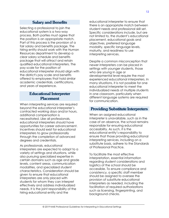### **Salary and Benefits**

<span id="page-18-0"></span>Selecting a professional to join the educational system is a two-way process. Both parties must agree that the position is an appropriate match. Part of this process is the provision of a fair salary and benefits package. The hiring entity should work with the Human Resources department to develop a clear salary schedule and benefits package that will attract and retain qualified educational interpreters. The pay scale for the position of educational interpreter should align with the district's pay scale and benefits offered to employees that hold similar academic credentials, certifications, and years of experience.

#### <span id="page-18-1"></span>**Educational Interpreter Placement**

When interpreting services are required beyond the educational interpreter's contracted working days and/or hours, additional compensation is necessitated. Like all professionals, educational interpreters should have opportunities for career advancement. Incentives should exist for educational interpreters to grow professionally through the completion of advanced degrees and credentials.

As professionals, educational interpreters are expected to adapt to a variety of settings and situations, while also pursuing specialized expertise in certain domains such as age and grade levels, content areas, communication modalities, and specialized student characteristics. Consideration should be given to ensure that educational interpreters are only placed with students for whom they can interpret effectively and address individualized needs. It is the joint responsibility of the hiring educational entity and the

educational interpreter to ensure that there is an appropriate match between student needs and professional skill set. Specific considerations include, but are not limited to, the student's educational placement, educational goals and objectives, preferred language modality, specific language levels, maturity, and readiness to use interpreting services.

Despite a common misconception that newer interpreters can be placed in settings with younger students, those who are young in age or developmental level require the most experienced educational interpreters. In many situations, it is not possible for one educational interpreter to meet the individualized needs of multiple students in one classroom, particularly when different language systems are required for communication.

#### <span id="page-18-2"></span>**Providing Substitute Interpreters**

When an assigned educational interpreter is unavailable, such as in the case of an absence, the school remains responsible for ensuring educational accessibility. As such, it is the educational entity's responsibility to ensure that those providing educational interpreting services, including on a substitute basis, adhere to the Standards of Professional Practice.

To facilitate the most effective interpretation, essential information regarding student considerations and logistics of the school should be accessible. To ensure compliance and consistency, a specific staff member should be assigned to oversee the provision of substitute educational interpreters as needed, including the facilitation of required authorizations such as licensing, fingerprinting, and background checks.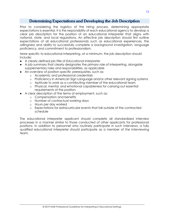### Determining Expectations and Developing the Job Description

<span id="page-19-0"></span>Prior to considering the logistics of the hiring process, determining appropriate expectations is essential. It is the responsibility of each educational agency to develop a clear job description for the position of an educational interpreter that aligns with national, state, and local regulations. An effective job description should first outline expectations of all educational professionals such as educational experiences, the willingness and ability to successfully complete a background investigation, language proficiency, and commitment to professionalism.

More specific to educational interpreting, at a minimum, the job description should include:

- A clearly defined job title of *Educational Interpreter*
- A job summary that clearly designates the primary role of interpreting, alongside supplementary roles and responsibilities, as applicable
- An overview of position-specific prerequisites, such as:
	- o Academic and professional credentials
	- o Proficiency in American Sign Language and/or other relevant signing systems
	- o Aptitude to work as a contributing member of the educational team
	- o Physical, mental, and emotional capableness for carrying out essential requirements of the position
- A clear description of the terms of employment, such as:
	- o Compensation and benefits
	- o Number of contractual working days
	- o Hours per day worked
	- o Expectations for extracurricular events that fall outside of the contracted schedule

The educational interpreter applicant should complete all standardized interview processes in a manner similar to those conducted of other applicants for professional positions. In addition to personnel who routinely participate in such interviews, a fully qualified educational interpreter should participate as a member of the interviewing team.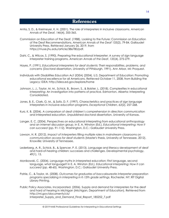### **References**

- <span id="page-20-0"></span>Antia, S. D., & Kreimeyer, K. H. (2001). The role of interpreters in inclusive classrooms. *American Annals of the Deaf, 146*(4), 355-365.
- Commission on Education of the Deaf. (1988). Looking to the Future: Commission on Education of the Deaf Recommendations. *American Annals of the Deaf* 133(2), 79-84. Gallaudet University Press. Retrieved January 26, 2019, from [https://muse.jhu.edu/article/386780/pdf.](https://muse.jhu.edu/article/386780/pdf)
- Dahl, C., & Wilcox, S. (1990). Preparing the educational interpreter: A survey of sign language interpreter training programs. *American Annals of the Deaf*, *135*(4), 275-279.
- Hayes, P. (1991). *Educational interpreters for deaf students: Their responsibilities, problems, and concerns* (Doctoral dissertation, University of Pittsburgh, 1991). Ann Arbor, MI: Proquest.
- Individuals with Disabilities Education Act (IDEA) (2004). U.S. Department of Education: Promoting educational excellence for all Americans. Retrieved October 11, 2008, from Building the Legacy: IDEA: http://idea.ed.gov/explore/home
- Johnson, L. J., Taylor, M. M., Schick, B., Brown, S., & Bolster, L. (2018). Complexities in educational interpreting: An investigation into patterns of practice. Edmonton, Alberta: Interpreting Consolidated.
- Jones, B. E., Clark, G. M., & Soltz, D. F. (1997). Characteristics and practices of sign language interpreters in inclusive education programs. *Exceptional Children, 63*(2), 257-268.
- Kurz, K. B. (2004). A comparison of deaf children's comprehension in direction communication and interpreted education. Unpublished doctoral dissertation, University of Kansas.
- Langer, E. C. (2004). Perspectives on educational interpreting from educational anthropology and an internet discussion group. In E. A. Winston (Ed.), *Educational interpreting: How it can succeed* (pp. 91-112). Washington, D.C.: Gallaudet University Press.
- Lawson, H. R. (2012). *Impact of interpreters filling multiple roles in mainstream classrooms on communication access for deaf students* (Master's thesis, University of Tennessee, 2012). Knoxville: University of Tennessee.
- Lederberg, A. R., Schick, B., & Spencer, P. E. (2013). Language and literacy development of deaf and hard-of-hearing children: successes and challenges. Developmental psychology, 49(1), 15.
- Monikowski, C. (2004). Language myths in interpreted education: First language, second language, what language? In E. A. Winston (Ed.), *Educational interpreting: How it can succeed* (pp. 48-60). Washington, D.C.: Gallaudet University Press.
- Patrie, C., & Taylor, M. (2008). *Outcomes for graduates of baccalaureate interpreter preparation programs specializing in interpreting in K-12th grade settings.* Rochester, NY: RIT Digital Library Printing.
- Public Policy Associates, Incorporated. (2006). Supply and demand for interpreters for the deaf and hard of hearing in Michigan (Michigan, Department of Education). Retrieved from http://mi.gov/documents/cis/ Interpreter Supply and Demand Final Report 185252 7.pdf